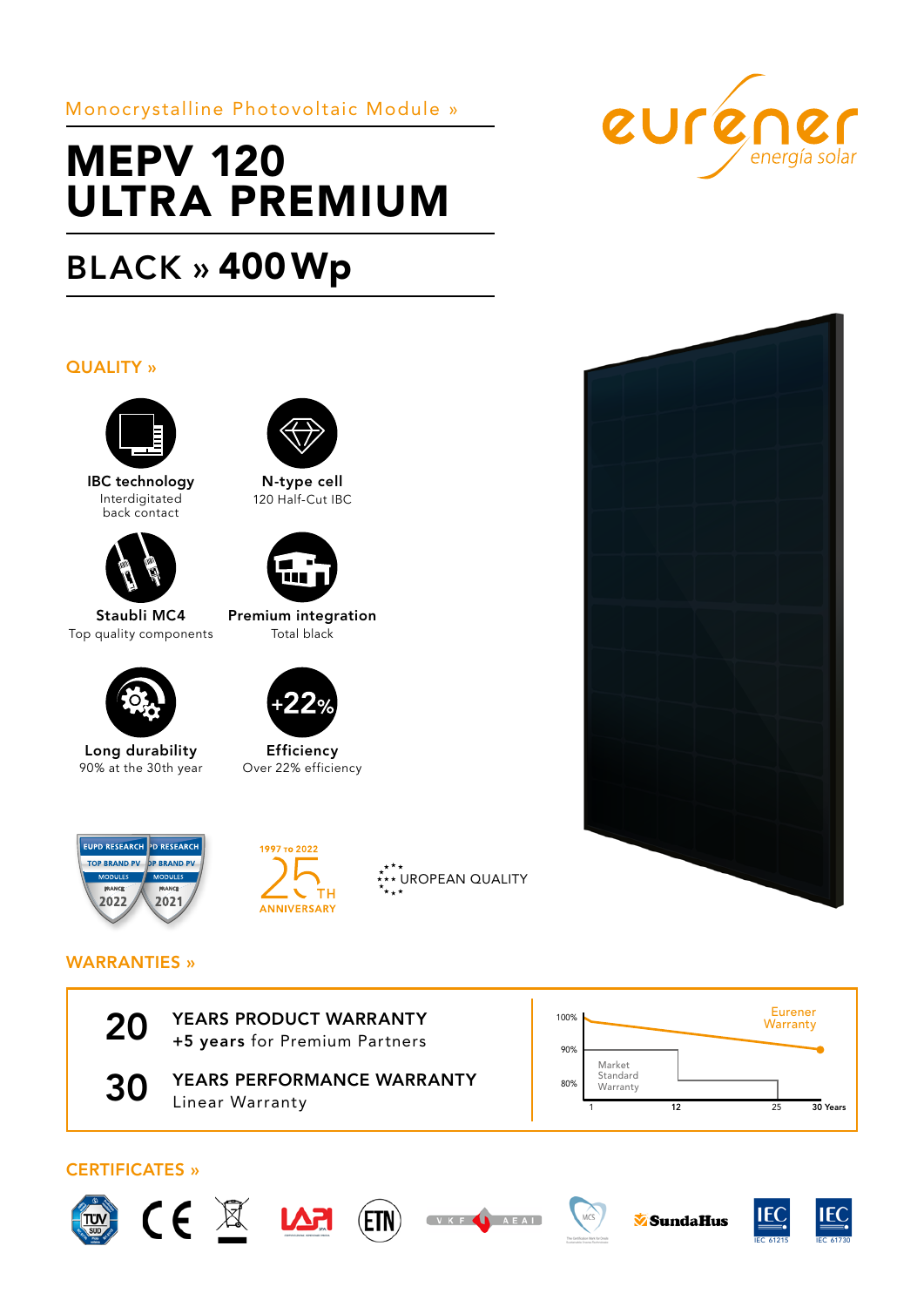Monocrystalline Photovoltaic Module »

# MEPV 120 ULTRA PREMIUM

# BLACK » 400Wp

### QUALITY »



IBC technology Interdigitated back contact



Staubli MC4 Top quality components



Long durability 90% at the 30th year



N-type cell 120 Half-Cut IBC



Premium integration Total black



Efficiency Over 22% efficiency











## WARRANTIES »



20 YEARS PRODUCT WARRANTY<br>+5 years for Premium Partners



**30 YEARS PERFORMANCE WARRANTY** Linear Warranty













 $MCS$